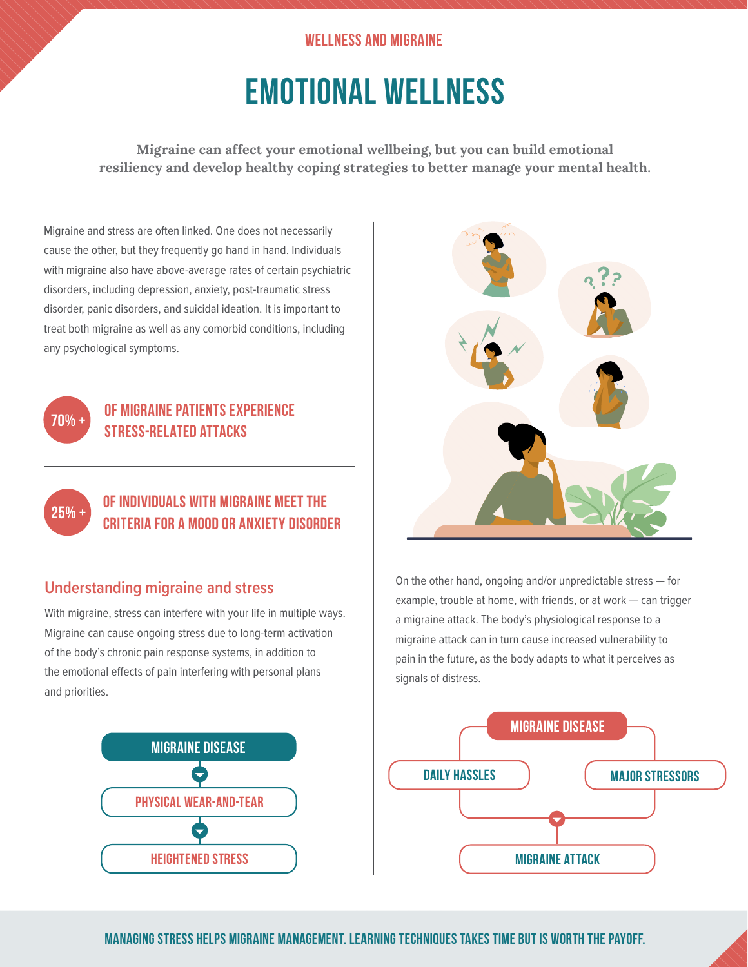#### **WELLNESS AND MIGRAINE**

# EMOTIONAL WELLNESS

**Migraine can affect your emotional wellbeing, but you can build emotional resiliency and develop healthy coping strategies to better manage your mental health.**

Migraine and stress are often linked. One does not necessarily cause the other, but they frequently go hand in hand. Individuals with migraine also have above-average rates of certain psychiatric disorders, including depression, anxiety, post-traumatic stress disorder, panic disorders, and suicidal ideation. It is important to treat both migraine as well as any comorbid conditions, including any psychological symptoms.



# **of migraine patients experience stress-related attacks**



## **of individuals with migraine meet the criteria for a mood or anxiety disorder**

## **Understanding migraine and stress**

With migraine, stress can interfere with your life in multiple ways. Migraine can cause ongoing stress due to long-term activation of the body's chronic pain response systems, in addition to the emotional effects of pain interfering with personal plans and priorities.





On the other hand, ongoing and/or unpredictable stress — for example, trouble at home, with friends, or at work — can trigger a migraine attack. The body's physiological response to a migraine attack can in turn cause increased vulnerability to pain in the future, as the body adapts to what it perceives as signals of distress.



**Managing stress helps migraine management. Learning techniques takes time but is worth the payoff.**